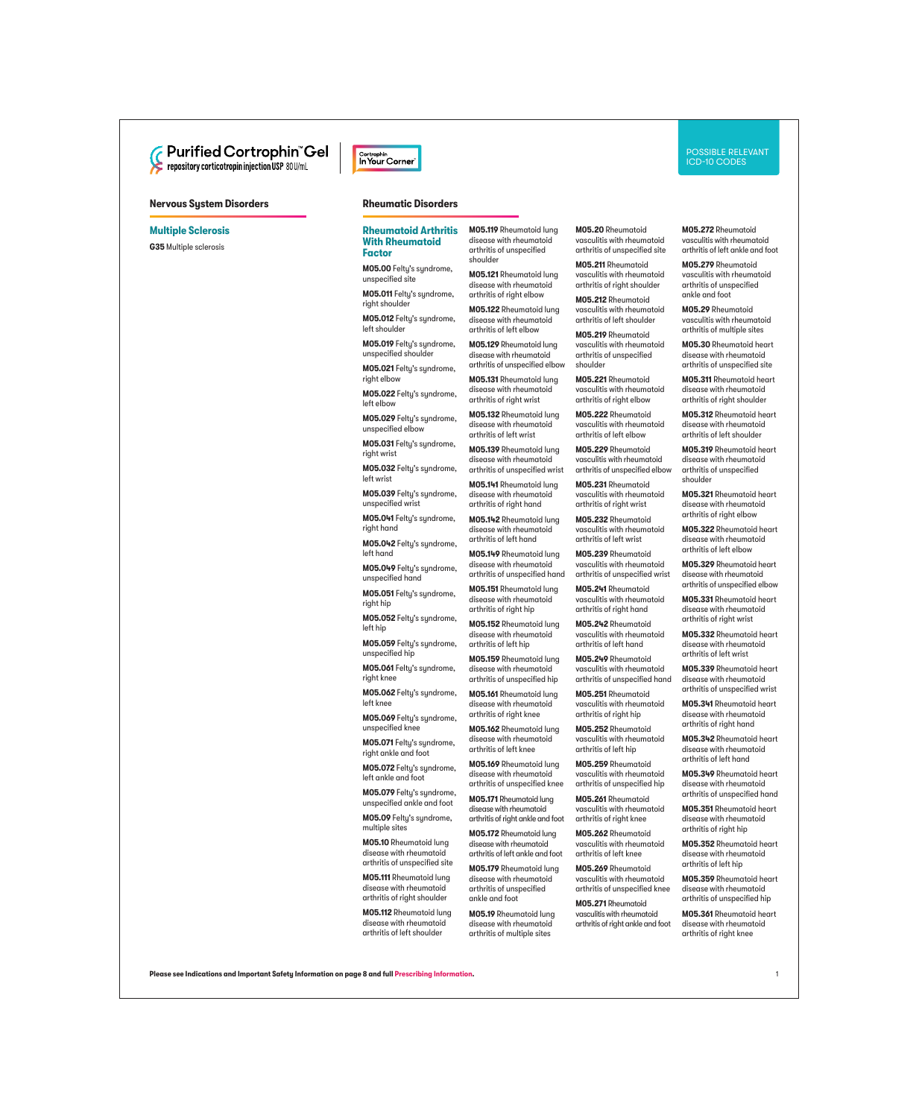

# **Nervous System Disorders Rheumatic Disorders**

#### **Multiple Sclerosis**

**G35** Multiple sclerosis



#### **Rheumatoid Arthritis With Rheumatoid Factor**

**M05.00** Felty's syndrome, unspecified site

**M05.011** Felty's syndrome, right shoulder

**M05.012** Felty's syndrome, left shoulder

**M05.019** Felty's syndrome, unspecified shoulder

**M05.021** Felty's syndrome, right elbow

**M05.022** Felty's syndrome, left elbow

**M05.029** Felty's syndrome, unspecified elbow

**M05.031** Felty's syndrome, right wrist

**M05.032** Felty's syndrome, left wrist

**M05.039** Felty's syndrome, unspecified wrist

**M05.041** Felty's syndrome, right hand

**M05.042** Felty's syndrome, left hand

**M05.049** Felty's syndrome, unspecified hand

**M05.051** Felty's syndrome, right hip

**M05.052** Felty's syndrome, left hip

**M05.059** Felty's syndrome, unspecified hip

**M05.061** Felty's syndrome, right knee

**M05.062** Felty's syndrome, left knee

**M05.069** Felty's syndrome, unspecified knee

**M05.071** Felty's syndrome, right ankle and foot

**M05.072** Felty's syndrome, left ankle and foot

**M05.079** Felty's syndrome, unspecified ankle and foot

**M05.09** Felty's syndrome, multiple sites

**M05.10** Rheumatoid lung disease with rheumatoid arthritis of unspecified site

**M05.111** Rheumatoid lung disease with rheumatoid arthritis of right shoulder

**M05.112** Rheumatoid lung disease with rheumatoid arthritis of left shoulder

**M05.119** Rheumatoid lung disease with rheumatoid arthritis of unspecified shoulder

**M05.121** Rheumatoid lung disease with rheumatoid arthritis of right elbow

**M05.122** Rheumatoid lung disease with rheumatoid arthritis of left elbow

**M05.129** Rheumatoid lung disease with rheumatoid arthritis of unspecified elbow

**M05.131** Rheumatoid lung disease with rheumatoid arthritis of right wrist

**M05.132** Rheumatoid lung disease with rheumatoid arthritis of left wrist

**M05.139** Rheumatoid lung disease with rheumatoid arthritis of unspecified wrist

**M05.141** Rheumatoid lung disease with rheumatoid arthritis of right hand

**M05.142** Rheumatoid lung disease with rheumatoid arthritis of left hand

**M05.149** Rheumatoid lung disease with rheumatoid arthritis of unspecified hand

**M05.151** Rheumatoid lung disease with rheumatoid arthritis of right hip

**M05.152** Rheumatoid lung disease with rheumatoid arthritis of left hip

**M05.159** Rheumatoid lung disease with rheumatoid arthritis of unspecified hip

**M05.161** Rheumatoid lung disease with rheumatoid arthritis of right knee

**M05.162** Rheumatoid lung disease with rheumatoid arthritis of left knee

**M05.169** Rheumatoid lung disease with rheumatoid arthritis of unspecified knee

**M05.171** Rheumatoid lung disease with rheumatoid arthritis of right ankle and foot

**M05.172** Rheumatoid lung disease with rheumatoid arthritis of left ankle and foot

**M05.179** Rheumatoid lung disease with rheumatoid arthritis of unspecified ankle and foot

**M05.19** Rheumatoid lung disease with rheumatoid arthritis of multiple sites

**M05.20** Rheumatoid vasculitis with rheumatoid arthritis of unspecified site

**M05.211** Rheumatoid vasculitis with rheumatoid arthritis of right shoulder

**M05.212** Rheumatoid vasculitis with rheumatoid arthritis of left shoulder

**M05.219** Rheumatoid vasculitis with rheumatoid arthritis of unspecified shoulder

**M05.221** Rheumatoid vasculitis with rheumatoid arthritis of right elbow

**M05.222** Rheumatoid vasculitis with rheumatoid arthritis of left elbow

**M05.229** Rheumatoid vasculitis with rheumatoid arthritis of unspecified elbow

**M05.231** Rheumatoid vasculitis with rheumatoid arthritis of right wrist

**M05.232** Rheumatoid vasculitis with rheumatoid arthritis of left wrist

**M05.239** Rheumatoid vasculitis with rheumatoid arthritis of unspecified wrist

**M05.241** Rheumatoid vasculitis with rheumatoid arthritis of right hand

**M05.242** Rheumatoid vasculitis with rheumatoid arthritis of left hand

**M05.249** Rheumatoid vasculitis with rheumatoid arthritis of unspecified hand

**M05.251** Rheumatoid vasculitis with rheumatoid arthritis of right hip

**M05.252** Rheumatoid vasculitis with rheumatoid

arthritis of left hip **M05.259** Rheumatoid vasculitis with rheumatoid arthritis of unspecified hip

**M05.261** Rheumatoid vasculitis with rheumatoid arthritis of right knee

**M05.262** Rheumatoid vasculitis with rheumatoid arthritis of left knee

**M05.269** Rheumatoid vasculitis with rheumatoid arthritis of unspecified knee

**M05.271** Rheumatoid vasculitis with rheumatoid arthritis of right ankle and foot **M05.272** Rheumatoid vasculitis with rheumatoid arthritis of left ankle and foot

**M05.279** Rheumatoid vasculitis with rheumatoid arthritis of unspecified ankle and foot

**M05.29** Rheumatoid vasculitis with rheumatoid arthritis of multiple sites

**M05.30** Rheumatoid heart disease with rheumatoid arthritis of unspecified site

**M05.311** Rheumatoid heart disease with rheumatoid arthritis of right shoulder

**M05.312** Rheumatoid heart disease with rheumatoid arthritis of left shoulder

**M05.319** Rheumatoid heart disease with rheumatoid arthritis of unspecified shoulder

**M05.321** Rheumatoid heart disease with rheumatoid arthritis of right elbow

**M05.322** Rheumatoid heart disease with rheumatoid arthritis of left elbow

**M05.329** Rheumatoid heart disease with rheumatoid arthritis of unspecified elbow

**M05.331** Rheumatoid heart disease with rheumatoid arthritis of right wrist

**M05.332** Rheumatoid heart disease with rheumatoid arthritis of left wrist

**M05.339** Rheumatoid heart disease with rheumatoid arthritis of unspecified wrist

**M05.341** Rheumatoid heart disease with rheumatoid arthritis of right hand

**M05.342** Rheumatoid heart disease with rheumatoid arthritis of left hand

**M05.349** Rheumatoid heart disease with rheumatoid arthritis of unspecified hand

**M05.351** Rheumatoid heart disease with rheumatoid arthritis of right hip

**M05.352** Rheumatoid heart disease with rheumatoid arthritis of left hip

**M05.359** Rheumatoid heart disease with rheumatoid arthritis of unspecified hip

**M05.361** Rheumatoid heart disease with rheumatoid arthritis of right knee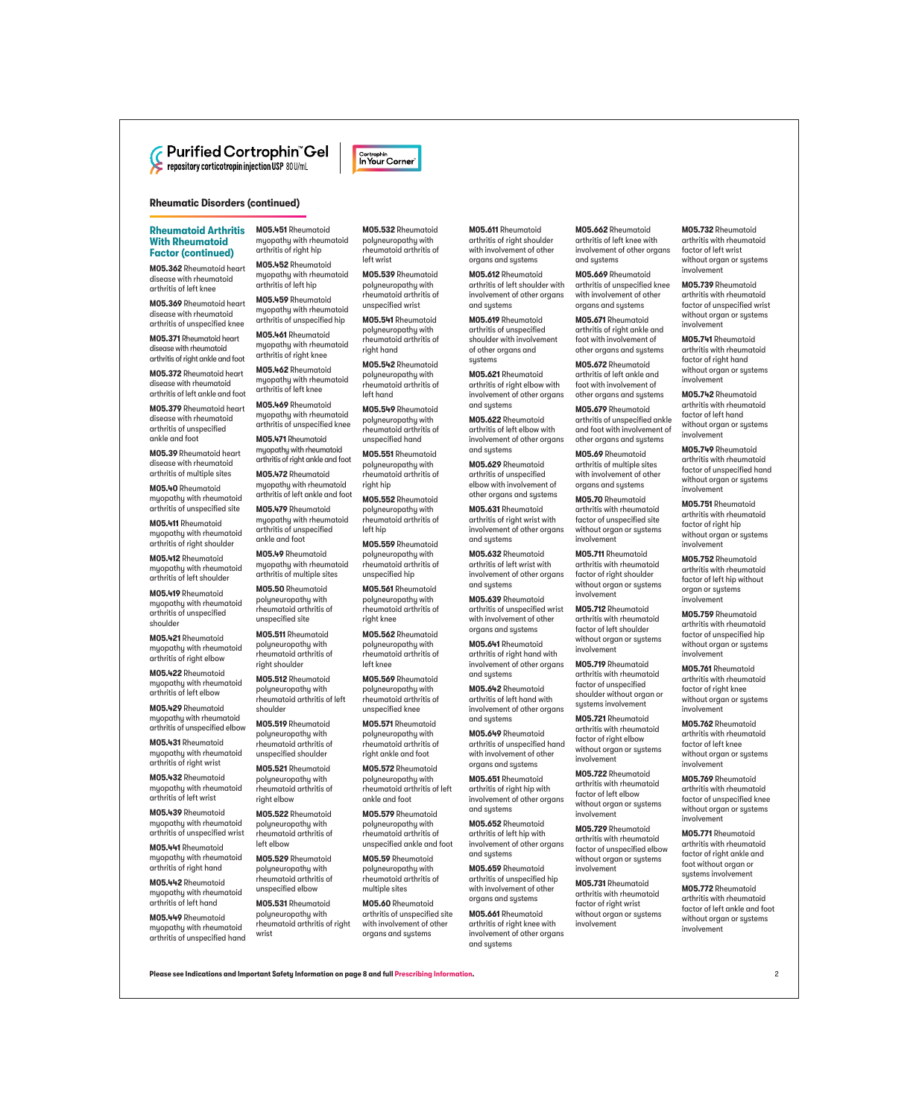

# **Rheumatic Disorders (continued)**

# **Rheumatoid Arthritis With Rheumatoid Factor (continued)**

**M05.362** Rheumatoid heart disease with rheumatoid arthritis of left knee

**M05.369** Rheumatoid heart disease with rheumatoid arthritis of unspecified knee

**M05.371** Rheumatoid heart disease with rheumatoid arthritis of right ankle and foot

**M05.372** Rheumatoid heart disease with rheumatoid arthritis of left ankle and foot

**M05.379** Rheumatoid heart disease with rheumatoid arthritis of unspecified ankle and foot

**M05.39** Rheumatoid heart disease with rheumatoid arthritis of multiple sites

**M05.40** Rheumatoid myopathy with rheumatoid arthritis of unspecified site

**M05.411** Rheumatoid myopathy with rheumatoid arthritis of right shoulder

**M05.412** Rheumatoid myopathy with rheumatoid arthritis of left shoulder

**M05.419** Rheumatoid myopathy with rheumatoid arthritis of unspecified shoulder

**M05.421** Rheumatoid myopathy with rheumatoid arthritis of right elbow

**M05.422** Rheumatoid myopathy with rheumatoid arthritis of left elbow

**M05.429** Rheumatoid myopathy with rheumatoid arthritis of unspecified elbow

**M05.431** Rheumatoid myopathy with rheumatoid arthritis of right wrist

**M05.432** Rheumatoid myopathy with rheumatoid arthritis of left wrist

**M05.439** Rheumatoid myopathy with rheumatoid arthritis of unspecified wrist

**M05.441** Rheumatoid myopathy with rheumatoid arthritis of right hand

**M05.442** Rheumatoid myopathy with rheumatoid arthritis of left hand

**M05.449** Rheumatoid myopathy with rheumatoid arthritis of unspecified hand **M05.451** Rheumatoid myopathy with rheumatoid arthritis of right hip

**M05.452** Rheumatoid myopathy with rheumatoid arthritis of left hip

**M05.459** Rheumatoid myopathy with rheumatoid arthritis of unspecified hip

**M05.461** Rheumatoid myopathy with rheumatoid arthritis of right knee

**M05.462** Rheumatoid myopathy with rheumatoid arthritis of left knee

**M05.469** Rheumatoid myopathy with rheumatoid arthritis of unspecified knee

**M05.471** Rheumatoid myopathy with rheumatoid arthritis of right ankle and foot

**M05.472** Rheumatoid myopathy with rheumatoid arthritis of left ankle and foot

**M05.479** Rheumatoid myopathy with rheumatoid arthritis of unspecified ankle and foot

**M05.49** Rheumatoid myopathy with rheumatoid arthritis of multiple sites

**M05.50** Rheumatoid polyneuropathy with rheumatoid arthritis of unspecified site

**M05.511** Rheumatoid polyneuropathy with rheumatoid arthritis of right shoulder

**M05.512** Rheumatoid polyneuropathy with rheumatoid arthritis of left shoulder

**M05.519** Rheumatoid polyneuropathy with rheumatoid arthritis of unspecified shoulder

**M05.521** Rheumatoid polyneuropathy with rheumatoid arthritis of right elbow

**M05.522** Rheumatoid polyneuropathy with rheumatoid arthritis of left elbow

**M05.529** Rheumatoid polyneuropathy with rheumatoid arthritis of unspecified elbow

**M05.531** Rheumatoid polyneuropathy with rheumatoid arthritis of right wrist

**M05.532** Rheumatoid poluneuropathu with rheumatoid arthritis of left wrist

Cortrophin In Your Corner

**M05.539** Rheumatoid poluneuropathu with rheumatoid arthritis of unspecified wrist

**M05.541** Rheumatoid polyneuropathy with rheumatoid arthritis of right hand

**M05.542** Rheumatoid polyneuropathy with rheumatoid arthritis of left hand

**M05.549** Rheumatoid poluneuropathy with rheumatoid arthritis of unspecified hand

**M05.551** Rheumatoid poluneuropathu with rheumatoid arthritis of right hip

**M05.552** Rheumatoid polyneuropathy with rheumatoid arthritis of left hip

**M05.559** Rheumatoid polyneuropathy with rheumatoid arthritis of unspecified hip

**M05.561** Rheumatoid polyneuropathy with rheumatoid arthritis of right knee

**M05.562** Rheumatoid polyneuropathy with rheumatoid arthritis of left knee

**M05.569** Rheumatoid polyneuropathy with rheumatoid arthritis of unspecified knee

**M05.571** Rheumatoid polyneuropathy with rheumatoid arthritis of right ankle and foot

**M05.572** Rheumatoid polyneuropathy with rheumatoid arthritis of left ankle and foot

**M05.579** Rheumatoid polyneuropathy with rheumatoid arthritis of unspecified ankle and foot

**M05.59** Rheumatoid polyneuropathy with rheumatoid arthritis of multiple sites

**M05.60** Rheumatoid arthritis of unspecified site with involvement of other organs and systems

**M05.611** Rheumatoid arthritis of right shoulder with involvement of other organs and systems

**M05.612** Rheumatoid arthritis of left shoulder with involvement of other organs and sustems

**M05.619** Rheumatoid arthritis of unspecified shoulder with involvement of other organs and sustems

**M05.621** Rheumatoid arthritis of right elbow with involvement of other organs and sustems

**M05.622** Rheumatoid arthritis of left elbow with involvement of other organs and sustems

**M05.629** Rheumatoid arthritis of unspecified elbow with involvement of other organs and systems

**M05.631** Rheumatoid arthritis of right wrist with involvement of other organs and systems

**M05.632** Rheumatoid arthritis of left wrist with involvement of other organs and systems

**M05.639** Rheumatoid arthritis of unspecified wrist with involvement of other organs and systems

**M05.641** Rheumatoid arthritis of right hand with involvement of other organs and systems

**M05.642** Rheumatoid arthritis of left hand with involvement of other organs and systems

**M05.649** Rheumatoid arthritis of unspecified hand with involvement of other organs and systems

**M05.651** Rheumatoid arthritis of right hip with involvement of other organs and systems

**M05.652** Rheumatoid arthritis of left hip with involvement of other organs and systems

**M05.659** Rheumatoid arthritis of unspecified hip with involvement of other organs and systems

**M05.661** Rheumatoid arthritis of right knee with involvement of other organs and systems

**M05.662** Rheumatoid arthritis of left knee with involvement of other organs and sustems

**M05.669** Rheumatoid arthritis of unspecified knee with involvement of other organs and sustems

**M05.671** Rheumatoid arthritis of right ankle and foot with involvement of other organs and sustems

**M05.672** Rheumatoid arthritis of left ankle and foot with involvement of other organs and sustems

**M05.679** Rheumatoid arthritis of unspecified ankle and foot with involvement of other organs and sustems

**M05.69** Rheumatoid arthritis of multiple sites with involvement of other organs and systems

**M05.70** Rheumatoid arthritis with rheumatoid factor of unspecified site without organ or systems involvement

**M05.711** Rheumatoid arthritis with rheumatoid factor of right shoulder without organ or systems involvement

**M05.712** Rheumatoid arthritis with rheumatoid factor of left shoulder without organ or systems involvement

**M05.719** Rheumatoid arthritis with rheumatoid factor of unspecified shoulder without organ or systems involvement

**M05.721** Rheumatoid arthritis with rheumatoid factor of right elbow without organ or systems involvement

**M05.722** Rheumatoid arthritis with rheumatoid factor of left elbow without organ or systems involvement

**M05.729** Rheumatoid arthritis with rheumatoid factor of unspecified elbow without organ or systems involvement

**M05.731** Rheumatoid arthritis with rheumatoid factor of right wrist without organ or systems involvement

**M05.732** Rheumatoid arthritis with rheumatoid factor of left wrist without organ or systems involvement

**M05.739** Rheumatoid arthritis with rheumatoid factor of unspecified wrist without organ or systems involvement

**M05.741** Rheumatoid arthritis with rheumatoid factor of right hand without organ or sustems involvement

**M05.742** Rheumatoid arthritis with rheumatoid factor of left hand without organ or systems involvement

**M05.749** Rheumatoid arthritis with rheumatoid factor of unspecified hand without organ or sustems involvement

**M05.751** Rheumatoid arthritis with rheumatoid factor of right hip without organ or systems involvement

**M05.752** Rheumatoid arthritis with rheumatoid factor of left hip without organ or systems involvement

**M05.759** Rheumatoid arthritis with rheumatoid factor of unspecified hip without organ or systems involvement

**M05.761** Rheumatoid arthritis with rheumatoid factor of right knee without organ or systems involvement

**M05.762** Rheumatoid arthritis with rheumatoid factor of left knee without organ or systems involvement

**M05.769** Rheumatoid arthritis with rheumatoid factor of unspecified knee without organ or systems involvement

**M05.771** Rheumatoid arthritis with rheumatoid factor of right ankle and foot without organ or systems involvement

**M05.772** Rheumatoid arthritis with rheumatoid factor of left ankle and foot without organ or systems involvement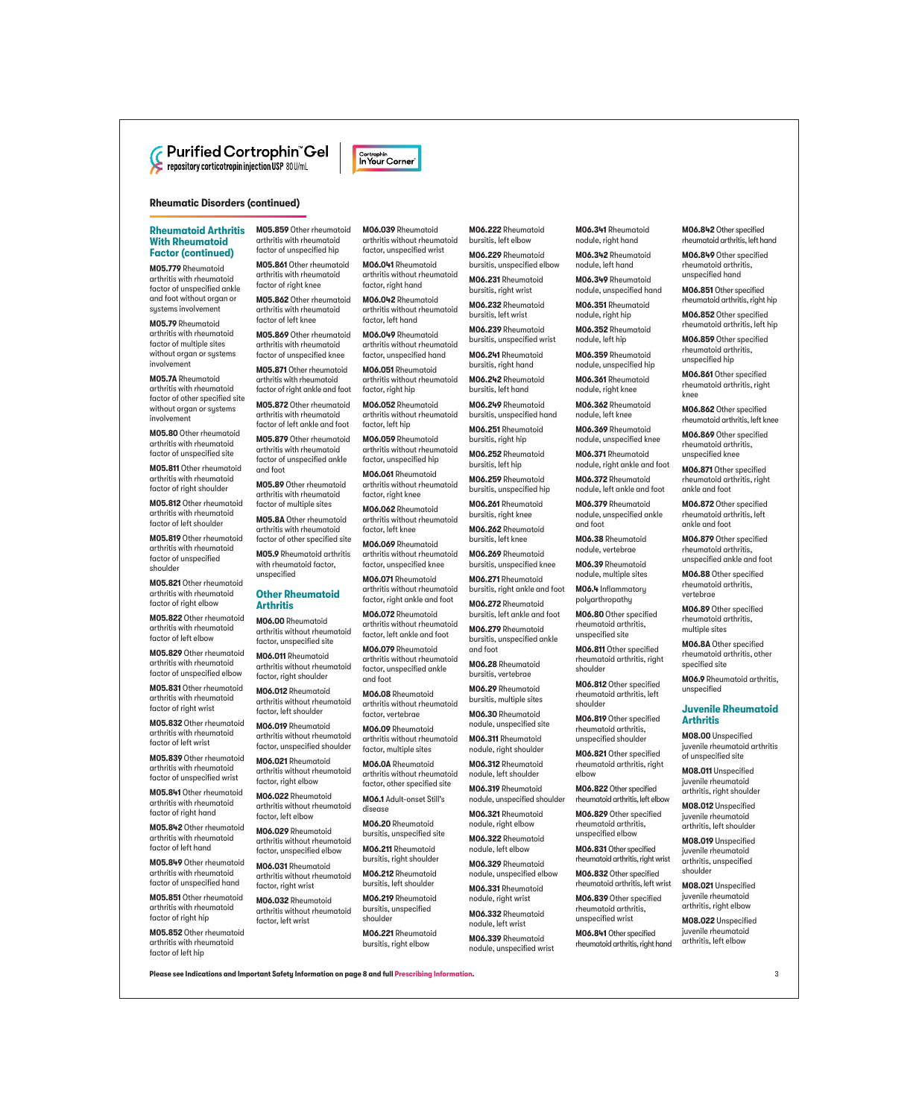# **Rheumatic Disorders (continued)**

# **Rheumatoid Arthritis With Rheumatoid Factor (continued)**

**M05.779** Rheumatoid arthritis with rheumatoid factor of unspecified ankle and foot without organ or systems involvement

**M05.79** Rheumatoid arthritis with rheumatoid factor of multiple sites without organ or systems involvement

**M05.7A** Rheumatoid arthritis with rheumatoid factor of other specified site without organ or systems involvement

**M05.80** Other rheumatoid arthritis with rheumatoid factor of unspecified site

**M05.811** Other rheumatoid arthritis with rheumatoid factor of right shoulder

**M05.812** Other rheumatoid arthritis with rheumatoid factor of left shoulder

**M05.819** Other rheumatoid arthritis with rheumatoid factor of unspecified shoulder

**M05.821** Other rheumatoid arthritis with rheumatoid factor of right elbow

**M05.822** Other rheumatoid arthritis with rheumatoid factor of left elbow

**M05.829** Other rheumatoid arthritis with rheumatoid factor of unspecified elbow

**M05.831** Other rheumatoid arthritis with rheumatoid factor of right wrist

**M05.832** Other rheumatoid arthritis with rheumatoid factor of left wrist

**M05.839** Other rheumatoid arthritis with rheumatoid factor of unspecified wrist

**M05.841** Other rheumatoid arthritis with rheumatoid factor of right hand

**M05.842** Other rheumatoid arthritis with rheumatoid factor of left hand

**M05.849** Other rheumatoid arthritis with rheumatoid factor of unspecified hand

**M05.851** Other rheumatoid arthritis with rheumatoid factor of right hip

**M05.852** Other rheumatoid arthritis with rheumatoid factor of left hip

**M05.859** Other rheumatoid arthritis with rheumatoid factor of unspecified hip

**M06.039** Rheumatoid arthritis without rheumatoid factor, unspecified wrist **M06.041** Rheumatoid arthritis without rheumatoid factor, right hand **M06.042** Rheumatoid arthritis without rheumatoid

Cortrophin In Your Corner

factor, left hand **M06.049** Rheumatoid arthritis without rheumatoid factor, unspecified hand **M06.051** Rheumatoid arthritis without rheumatoid

factor, right hip **M06.052** Rheumatoid arthritis without rheumatoid

factor, left hip **M06.059** Rheumatoid arthritis without rheumatoid factor, unspecified hip **M06.061** Rheumatoid arthritis without rheumatoid factor, right knee **M06.062** Rheumatoid arthritis without rheumatoid

factor, left knee **M06.069** Rheumatoid arthritis without rheumatoid factor, unspecified knee **M06.071** Rheumatoid arthritis without rheumatoid factor, right ankle and foot **M06.072** Rheumatoid arthritis without rheumatoid factor, left ankle and foot **M06.079** Rheumatoid arthritis without rheumatoid factor, unspecified ankle

and foot

disease

**M06.20** Rheumatoid bursitis, unspecified site **M06.211** Rheumatoid bursitis, right shoulder **M06.212** Rheumatoid bursitis, left shoulder **M06.219** Rheumatoid bursitis, unspecified shoulder

**M06.08** Rheumatoid arthritis without rheumatoid factor, vertebrae **M06.09** Rheumatoid arthritis without rheumatoid factor, multiple sites **M06.0A** Rheumatoid arthritis without rheumatoid factor, other specified site **M06.1** Adult-onset Still's

**M05.861** Other rheumatoid arthritis with rheumatoid factor of right knee

**M05.862** Other rheumatoid arthritis with rheumatoid factor of left knee

**M05.869** Other rheumatoid arthritis with rheumatoid factor of unspecified knee

**M05.871** Other rheumatoid arthritis with rheumatoid factor of right ankle and foot

**M05.872** Other rheumatoid arthritis with rheumatoid factor of left ankle and foot

**M05.879** Other rheumatoid arthritis with rheumatoid factor of unspecified ankle and foot

**M05.89** Other rheumatoid arthritis with rheumatoid factor of multiple sites

**M05.8A** Other rheumatoid arthritis with rheumatoid factor of other specified site

**M05.9** Rheumatoid arthritis with rheumatoid factor, unspecified

# **Other Rheumatoid Arthritis**

**M06.00** Rheumatoid arthritis without rheumatoid factor, unspecified site

**M06.011** Rheumatoid arthritis without rheumatoid factor, right shoulder

**M06.012** Rheumatoid arthritis without rheumatoid factor, left shoulder

**M06.019** Rheumatoid arthritis without rheumatoid factor, unspecified shoulder

**M06.021** Rheumatoid arthritis without rheumatoid factor, right elbow

**M06.022** Rheumatoid arthritis without rheumatoid factor, left elbow

**M06.029** Rheumatoid arthritis without rheumatoid factor, unspecified elbow

**M06.031** Rheumatoid arthritis without rheumatoid factor, right wrist

**M06.032** Rheumatoid arthritis without rheumatoid factor, left wrist

> **M06.221** Rheumatoid bursitis, right elbow

**M06.222** Rheumatoid bursitis, left elbow

**M06.229** Rheumatoid bursitis, unspecified elbow **M06.231** Rheumatoid

bursitis, right wrist **M06.232** Rheumatoid

bursitis, left wrist **M06.239** Rheumatoid

bursitis, unspecified wrist **M06.241** Rheumatoid bursitis, right hand

**M06.242** Rheumatoid bursitis, left hand

**M06.249** Rheumatoid bursitis, unspecified hand **M06.251** Rheumatoid

**M06.252** Rheumatoid bursitis, left hip

bursitis, right hip

**M06.259** Rheumatoid bursitis, unspecified hip

**M06.261** Rheumatoid bursitis, right knee

**M06.262** Rheumatoid bursitis, left knee

**M06.269** Rheumatoid bursitis, unspecified knee

**M06.271** Rheumatoid bursitis, right ankle and foot

**M06.272** Rheumatoid bursitis, left ankle and foot

**M06.279** Rheumatoid bursitis, unspecified ankle and foot

**M06.28** Rheumatoid bursitis, vertebrae **M06.29** Rheumatoid

bursitis, multiple sites **M06.30** Rheumatoid

nodule, unspecified site **M06.311** Rheumatoid

nodule, right shoulder **M06.312** Rheumatoid

nodule, left shoulder

**M06.319** Rheumatoid nodule, unspecified shoulder

**M06.321** Rheumatoid nodule, right elbow

**M06.322** Rheumatoid nodule, left elbow **M06.329** Rheumatoid

nodule, unspecified elbow

**M06.331** Rheumatoid nodule, right wrist

**M06.332** Rheumatoid nodule, left wrist

**Please see Indications and Important Safety Information on page 8 and full [Prescribing Information.](https://cortrophin.com/pdfs/purified-cortrophin-gel-prescribing-information.pdf)** 3

**M06.339** Rheumatoid nodule, unspecified wrist **M06.341** Rheumatoid nodule, right hand

**M06.342** Rheumatoid nodule, left hand

**M06.349** Rheumatoid nodule, unspecified hand

**M06.351** Rheumatoid nodule, right hip

**M06.352** Rheumatoid nodule, left hip

**M06.359** Rheumatoid nodule, unspecified hip

**M06.361** Rheumatoid nodule, right knee

**M06.362** Rheumatoid nodule, left knee

**M06.369** Rheumatoid nodule, unspecified knee

**M06.371** Rheumatoid nodule, right ankle and foot

**M06.372** Rheumatoid nodule, left ankle and foot

**M06.379** Rheumatoid nodule, unspecified ankle and foot

**M06.38** Rheumatoid nodule, vertebrae

**M06.39** Rheumatoid nodule, multiple sites

**M06.4** Inflammatory polyarthropathy

**M06.80** Other specified rheumatoid arthritis, unspecified site

**M06.811** Other specified rheumatoid arthritis, right shoulder

**M06.812** Other specified rheumatoid arthritis, left shoulder

**M06.819** Other specified rheumatoid arthritis, unspecified shoulder

**M06.821** Other specified rheumatoid arthritis, right elbow

**M06.822** Other specified rheumatoid arthritis, left elbow

**M06.829** Other specified rheumatoid arthritis, unspecified elbow

**M06.831** Other specified rheumatoid arthritis, right wrist

**M06.832** Other specified rheumatoid arthritis, left wrist

**M06.839** Other specified rheumatoid arthritis, unspecified wrist

**M06.841** Other specified rheumatoid arthritis, right hand **M06.842** Other specified rheumatoid arthritis, left hand

**M06.849** Other specified rheumatoid arthritis, unspecified hand

**M06.851** Other specified rheumatoid arthritis, right hip

**M06.852** Other specified rheumatoid arthritis, left hip

**M06.859** Other specified rheumatoid arthritis, unspecified hip

**M06.861** Other specified rheumatoid arthritis, right

**M06.862** Other specified rheumatoid arthritis, left knee **M06.869** Other specified rheumatoid arthritis, unspecified knee **M06.871** Other specified rheumatoid arthritis, right ankle and foot

**M06.872** Other specified rheumatoid arthritis, left ankle and foot

**M06.879** Other specified rheumatoid arthritis, unspecified ankle and foot **M06.88** Other specified rheumatoid arthritis, vertebrae

**M06.89** Other specified rheumatoid arthritis, multiple sites

**M06.8A** Other specified rheumatoid arthritis, other

**M06.9** Rheumatoid arthritis,

**Juvenile Rheumatoid** 

**M08.00** Unspecified juvenile rheumatoid arthritis of unspecified site **M08.011** Unspecified juvenile rheumatoid arthritis, right shoulder **M08.012** Unspecified juvenile rheumatoid arthritis, left shoulder **M08.019** Unspecified juvenile rheumatoid arthritis, unspecified shoulder

**M08.021** Unspecified juvenile rheumatoid .<br>arthritis, right elbow **M08.022** Unspecified juvenile rheumatoid arthritis, left elbow

specified site

unspecified

**Arthritis**

knee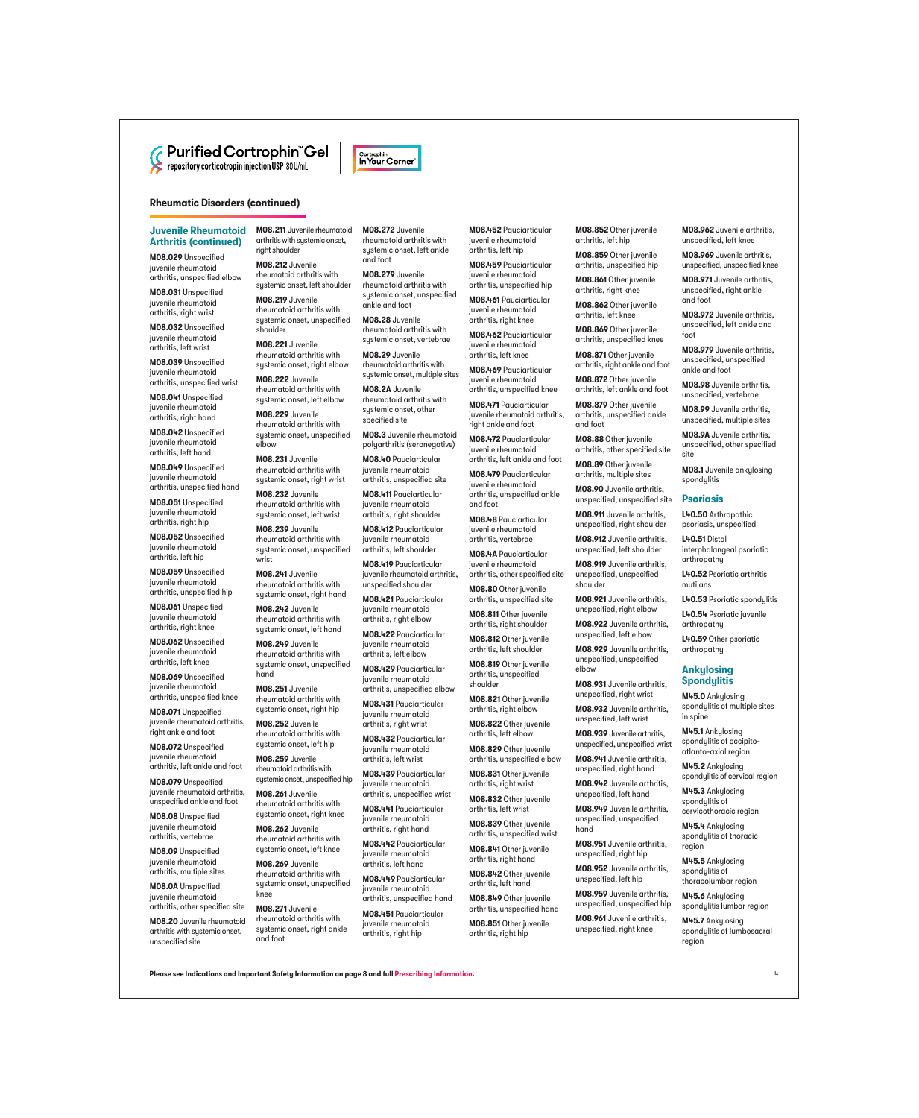# **C** Purified Cortrophin<sup>th</sup> Gel

# **Rheumatic Disorders (continued)**

# **Juvenile Rheumatoid Arthritis (continued)**

**M08.029** Unspecified juvenile rheumatoid arthritis, unspecified elbow

**M08.031** Unspecified juvenile rheumatoid arthritis, right wrist

**M08.032** Unspecified juvenile rheumatoid arthritis, left wrist

**M08.039** Unspecified juvenile rheumatoid arthritis, unspecified wrist

**M08.041** Unspecified juvenile rheumatoid arthritis, right hand

**M08.042** Unspecified juvenile rheumatoid arthritis, left hand

**M08.049** Unspecified juvenile rheumatoid arthritis, unspecified hand

**M08.051** Unspecified juvenile rheumatoid arthritis, right hip

**M08.052** Unspecified juvenile rheumatoid arthritis, left hip

**M08.059** Unspecified juvenile rheumatoid arthritis, unspecified hip

**M08.061** Unspecified juvenile rheumatoid arthritis, right knee

**M08.062** Unspecified juvenile rheumatoid arthritis, left knee

**M08.069** Unspecified juvenile rheumatoid arthritis, unspecified knee

**M08.071** Unspecified juvenile rheumatoid arthritis, right ankle and foot

**M08.072** Unspecified juvenile rheumatoid arthritis, left ankle and foot

**M08.079** Unspecified juvenile rheumatoid arthritis, unspecified ankle and foot

**M08.08** Unspecified juvenile rheumatoid arthritis, vertebrae

**M08.09** Unspecified juvenile rheumatoid arthritis, multiple sites

**M08.0A** Unspecified juvenile rheumatoid arthritis, other specified site

**M08.20** Juvenile rheumatoid arthritis with systemic onset, unspecified site

**M08.211** Juvenile rheumatoid arthritis with systemic onset, right shoulder

**M08.212** Juvenile rheumatoid arthritis with sustemic onset, left shoulder

**M08.219** Juvenile rheumatoid arthritis with sustemic onset, unspecified shoulder

**M08.221** Juvenile rheumatoid arthritis with systemic onset, right elbow

**M08.222** Juvenile rheumatoid arthritis with systemic onset, left elbow

**M08.229** Juvenile rheumatoid arthritis with systemic onset, unspecified elbow

**M08.231** Juvenile rheumatoid arthritis with sustemic onset, right wrist

**M08.232** Juvenile rheumatoid arthritis with systemic onset, left wrist

**M08.239** Juvenile rheumatoid arthritis with systemic onset, unspecified wrist

**M08.241** Juvenile rheumatoid arthritis with systemic onset, right hand

**M08.242** Juvenile rheumatoid arthritis with systemic onset, left hand

**M08.249** Juvenile rheumatoid arthritis with systemic onset, unspecified hand

**M08.251** Juvenile rheumatoid arthritis with systemic onset, right hip

**M08.252** Juvenile rheumatoid arthritis with systemic onset, left hip

**M08.259** Juvenile rheumatoid arthritis with systemic onset, unspecified hip

**M08.261** Juvenile rheumatoid arthritis with systemic onset, right knee

**M08.262** Juvenile rheumatoid arthritis with systemic onset, left knee

**M08.269** Juvenile rheumatoid arthritis with systemic onset, unspecified knee

**M08.271** Juvenile rheumatoid arthritis with systemic onset, right ankle and foot

**M08.272** Juvenile rheumatoid arthritis with sustemic onset, left ankle and foot

Cortrophin In Your Corner

**M08.279** Juvenile rheumatoid arthritis with systemic onset, unspecified ankle and foot

**M08.28** Juvenile rheumatoid arthritis with systemic onset, vertebrae

**M08.29** Juvenile rheumatoid arthritis with systemic onset, multiple sites

**M08.2A** Juvenile rheumatoid arthritis with sustemic onset, other specified site

**M08.3** Juvenile rheumatoid polyarthritis (seronegative)

**M08.40** Pauciarticular juvenile rheumatoid arthritis, unspecified site

**M08.411** Pauciarticular juvenile rheumatoid arthritis, right shoulder

**M08.412** Pauciarticular juvenile rheumatoid arthritis, left shoulder

**M08.419** Pauciarticular juvenile rheumatoid arthritis, unspecified shoulder

**M08.421** Pauciarticular juvenile rheumatoid arthritis, right elbow

**M08.422** Pauciarticular juvenile rheumatoid arthritis, left elbow

**M08.429** Pauciarticular juvenile rheumatoid arthritis, unspecified elbow

**M08.431** Pauciarticular juvenile rheumatoid arthritis, right wrist

**M08.432** Pauciarticular juvenile rheumatoid arthritis, left wrist

**M08.439** Pauciarticular juvenile rheumatoid arthritis, unspecified wrist

**M08.441** Pauciarticular juvenile rheumatoid arthritis, right hand

**M08.442** Pauciarticular juvenile rheumatoid arthritis, left hand

**M08.449** Pauciarticular juvenile rheumatoid arthritis, unspecified hand

**M08.451** Pauciarticular juvenile rheumatoid arthritis, right hip

**M08.452** Pauciarticular juvenile rheumatoid arthritis, left hip

**M08.459** Pauciarticular juvenile rheumatoid arthritis, unspecified hip

**M08.461** Pauciarticular juvenile rheumatoid .<br>arthritis, right knee

**M08.462** Pauciarticular juvenile rheumatoid arthritis, left knee

**M08.469** Pauciarticular juvenile rheumatoid arthritis, unspecified knee

**M08.471** Pauciarticular juvenile rheumatoid arthritis, right ankle and foot

**M08.472** Pauciarticular juvenile rheumatoid arthritis, left ankle and foot

**M08.479** Pauciarticular juvenile rheumatoid arthritis, unspecified ankle and foot

**M08.48** Pauciarticular juvenile rheumatoid arthritis, vertebrae

**M08.4A** Pauciarticular juvenile rheumatoid arthritis, other specified site

**M08.80** Other juvenile arthritis, unspecified site

**M08.811** Other juvenile arthritis, right shoulder

**M08.812** Other juvenile arthritis, left shoulder

**M08.819** Other juvenile arthritis, unspecified shoulder

**M08.821** Other juvenile arthritis, right elbow

**M08.822** Other juvenile arthritis, left elbow

**M08.829** Other juvenile arthritis, unspecified elbow

**M08.831** Other juvenile arthritis, right wrist

**M08.832** Other juvenile arthritis, left wrist

**M08.839** Other juvenile arthritis, unspecified wrist

**M08.841** Other juvenile arthritis, right hand

**M08.842** Other juvenile arthritis, left hand

**M08.849** Other juvenile arthritis, unspecified hand

**M08.851** Other juvenile arthritis, right hip

**Please see Indications and Important Safety Information on page 8 and full [Prescribing Information](https://cortrophin.com/pdfs/purified-cortrophin-gel-prescribing-information.pdf).** 4

**M08.852** Other juvenile arthritis, left hip

**M08.962** Juvenile arthritis, unspecified, left knee **M08.969** Juvenile arthritis, unspecified, unspecified knee **M08.971** Juvenile arthritis, unspecified, right ankle

**M08.972** Juvenile arthritis, unspecified, left ankle and

**M08.979** Juvenile arthritis, unspecified, unspecified ankle and foot

**M08.98** Juvenile arthritis, unspecified, vertebrae **M08.99** Juvenile arthritis, unspecified, multiple sites **M08.9A** Juvenile arthritis, unspecified, other specified

**M08.1** Juvenile ankulosing

interphalangeal psoriatic

**L40.52** Psoriatic arthritis

**L40.53** Psoriatic spondylitis **L40.54** Psoriatic juvenile

**L40.59** Other psoriatic arthropathy **Ankylosing Spondylitis M45.0** Ankylosing spondylitis of multiple sites

and foot

foot

site

spondulitis **Psoriasis L40.50** Arthropathic psoriasis, unspecified **L40.51** Distal

arthropathy

arthropathy

in spine

region

region

**M45.5** Ankylosing spondylitis of thoracolumbar region **M45.6** Ankylosing spondylitis lumbar region **M45.7** Ankylosing spondylitis of lumbosacral

**M45.1** Ankylosing spondylitis of occipitoatlanto-axial region **M45.2** Ankylosing spondylitis of cervical region **M45.3** Ankylosing spondylitis of cervicothoracic region **M45.4** Ankylosing spondylitis of thoracic

mutilans

**M08.859** Other juvenile arthritis, unspecified hip

**M08.861** Other juvenile arthritis, right knee

**M08.862** Other juvenile arthritis, left knee

**M08.869** Other juvenile arthritis, unspecified knee

**M08.871** Other juvenile arthritis, right ankle and foot

**M08.872** Other juvenile arthritis, left ankle and foot

**M08.879** Other juvenile arthritis, unspecified ankle and foot

**M08.88** Other juvenile arthritis, other specified site

**M08.89** Other juvenile arthritis, multiple sites

**M08.90** Juvenile arthritis, unspecified, unspecified site

**M08.911** Juvenile arthritis, unspecified, right shoulder **M08.912** Juvenile arthritis,

unspecified, left shoulder

**M08.919** Juvenile arthritis, unspecified, unspecified shoulder

**M08.921** Juvenile arthritis, unspecified, right elbow **M08.922** Juvenile arthritis, unspecified, left elbow **M08.929** Juvenile arthritis, unspecified, unspecified

**M08.931** Juvenile arthritis, unspecified, right wrist **M08.932** Juvenile arthritis, unspecified, left wrist **M08.939** Juvenile arthritis, unspecified, unspecified wrist **M08.941** Juvenile arthritis, unspecified, right hand **M08.942** Juvenile arthritis, unspecified, left hand **M08.949** Juvenile arthritis, unspecified, unspecified

**M08.951** Juvenile arthritis, unspecified, right hip **M08.952** Juvenile arthritis, unspecified, left hip **M08.959** Juvenile arthritis, unspecified, unspecified hip **M08.961** Juvenile arthritis, unspecified, right knee

elbow

hand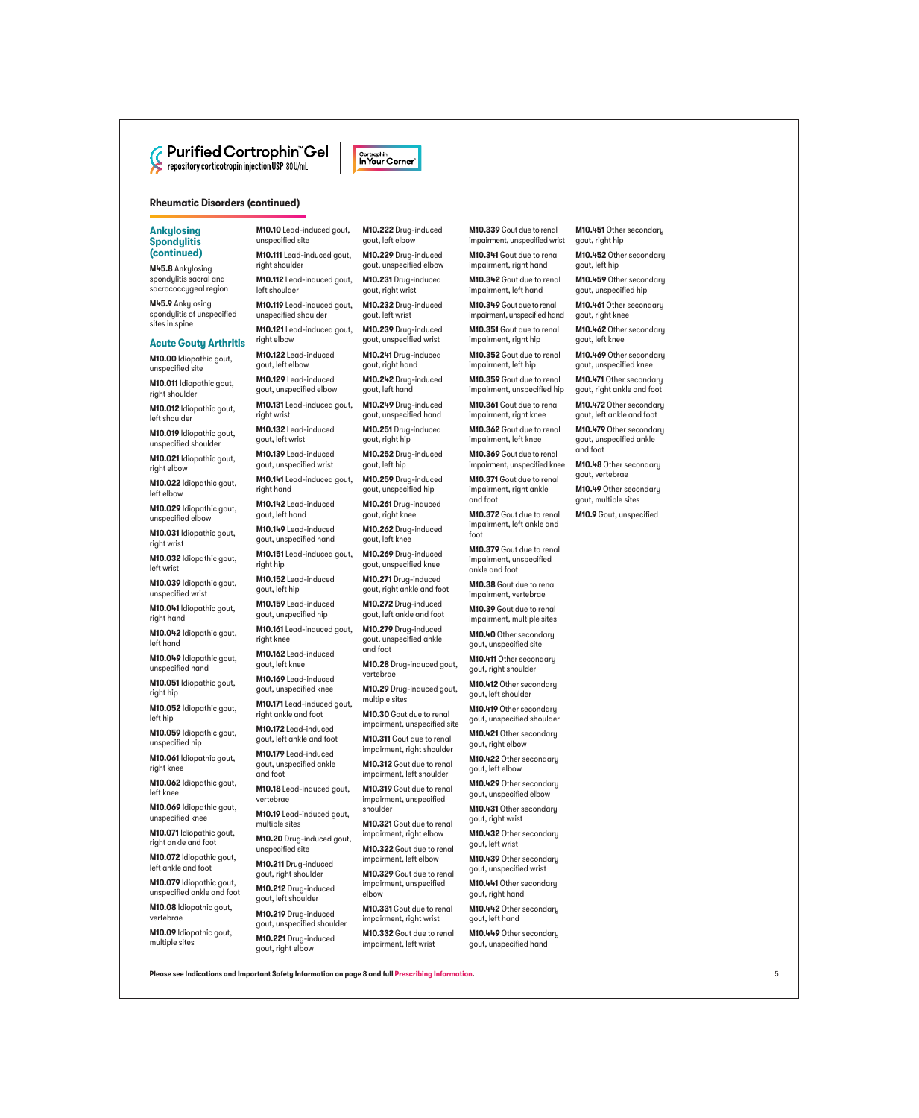

# **Rheumatic Disorders (continued)**

# **Ankylosing Spondylitis (continued)**

**M45.8** Ankylosing spondylitis sacral and sacrococcygeal region

**M45.9** Ankylosing spondylitis of unspecified sites in spine

#### **Acute Gouty Arthritis**

**M10.00** Idiopathic gout, unspecified site

**M10.011** Idiopathic gout, right shoulder

**M10.012** Idiopathic gout, left shoulder

**M10.019** Idiopathic gout, unspecified shoulder

**M10.021** Idiopathic gout, right elbow

**M10.022** Idiopathic gout, left elbow

**M10.029** Idiopathic gout, unspecified elbow

**M10.031** Idiopathic gout, right wrist

**M10.032** Idiopathic gout, left wrist

**M10.039** Idiopathic gout, unspecified wrist

**M10.041** Idiopathic gout, right hand

**M10.042** Idiopathic gout, left hand

**M10.049** Idiopathic gout, unspecified hand

**M10.051** Idiopathic gout, right hip

**M10.052** Idiopathic gout, left hip

**M10.059** Idiopathic gout, unspecified hip

**M10.061** Idiopathic gout, right knee

**M10.062** Idiopathic gout, left knee

**M10.069** Idiopathic gout, unspecified knee

**M10.071** Idiopathic gout, right ankle and foot

**M10.072** Idiopathic gout, left ankle and foot

**M10.079** Idiopathic gout, unspecified ankle and foot

**M10.08** Idiopathic gout, vertebrae

**M10.09** Idiopathic gout, multiple sites

**M10.10** Lead-induced gout, unspecified site

**M10.111** Lead-induced gout, right shoulder

**M10.112** Lead-induced gout, left shoulder

**M10.119** Lead-induced gout, unspecified shoulder

**M10.121** Lead-induced gout, right elbow

**M10.122** Lead-induced gout, left elbow **M10.129** Lead-induced

gout, unspecified elbow **M10.131** Lead-induced gout,

right wrist

**M10.132** Lead-induced gout, left wrist

**M10.139** Lead-induced gout, unspecified wrist

**M10.141** Lead-induced gout, right hand

**M10.142** Lead-induced gout, left hand

**M10.149** Lead-induced gout, unspecified hand

**M10.151** Lead-induced gout, right hip

**M10.152** Lead-induced gout, left hip

**M10.159** Lead-induced gout, unspecified hip

**M10.161** Lead-induced gout, right knee **M10.162** Lead-induced

gout, left knee **M10.169** Lead-induced

gout, unspecified knee **M10.171** Lead-induced gout,

right ankle and foot

**M10.172** Lead-induced gout, left ankle and foot

**M10.179** Lead-induced gout, unspecified ankle and foot

**M10.18** Lead-induced gout, vertebrae

**M10.19** Lead-induced gout, multiple sites

**M10.20** Drug-induced gout, unspecified site

**M10.211** Drug-induced gout, right shoulder

**M10.212** Drug-induced gout, left shoulder

**M10.219** Drug-induced gout, unspecified shoulder

**M10.221** Drug-induced gout, right elbow

**M10.222** Drug-induced gout, left elbow

Cortrophin In Your Corner

**M10.229** Drug-induced gout, unspecified elbow

**M10.231** Drug-induced gout, right wrist

**M10.232** Drug-induced gout, left wrist

**M10.239** Drug-induced gout, unspecified wrist

**M10.241** Drug-induced gout, right hand

**M10.242** Drug-induced gout, left hand

**M10.249** Drug-induced gout, unspecified hand

**M10.251** Drug-induced gout, right hip

**M10.252** Drug-induced gout, left hip

**M10.259** Drug-induced gout, unspecified hip

**M10.261** Drug-induced gout, right knee

**M10.262** Drug-induced gout, left knee

**M10.269** Drug-induced gout, unspecified knee

**M10.271** Drug-induced gout, right ankle and foot

**M10.272** Drug-induced gout, left ankle and foot

**M10.279** Drug-induced gout, unspecified ankle and foot

**M10.28** Drug-induced gout, vertebrae

**M10.29** Drug-induced gout, multiple sites

**M10.30** Gout due to renal impairment, unspecified site

**M10.311** Gout due to renal impairment, right shoulder

**M10.312** Gout due to renal impairment, left shoulder

**M10.319** Gout due to renal impairment, unspecified shoulder

**M10.321** Gout due to renal impairment, right elbow

**M10.322** Gout due to renal impairment, left elbow

**M10.329** Gout due to renal impairment, unspecified elbow

**M10.331** Gout due to renal impairment, right wrist

**M10.332** Gout due to renal impairment, left wrist

**M10.339** Gout due to renal impairment, unspecified wrist **M10.451** Other secondary

**M10.452** Other secondary

**M10.459** Other secondary gout, unspecified hip **M10.461** Other secondary gout, right knee

**M10.462** Other secondary

**M10.469** Other secondary gout, unspecified knee **M10.471** Other secondary gout, right ankle and foot **M10.472** Other secondary gout, left ankle and foot **M10.479** Other secondary gout, unspecified ankle

**M10.48** Other secondary gout, vertebrae

**M10.49** Other secondary gout, multiple sites **M10.9** Gout, unspecified

gout, right hip

gout, left hip

gout, left knee

and foot

**M10.341** Gout due to renal impairment, right hand

**M10.342** Gout due to renal impairment, left hand

**M10.349** Gout due to renal impairment, unspecified hand

**M10.351** Gout due to renal impairment, right hip

**M10.352** Gout due to renal impairment, left hip

**M10.359** Gout due to renal impairment, unspecified hip

**M10.361** Gout due to renal impairment, right knee

**M10.362** Gout due to renal impairment, left knee

**M10.369** Gout due to renal impairment, unspecified knee

**M10.371** Gout due to renal impairment, right ankle and foot

**M10.372** Gout due to renal impairment, left ankle and foot

**M10.379** Gout due to renal impairment, unspecified ankle and foot

**M10.38** Gout due to renal impairment, vertebrae **M10.39** Gout due to renal impairment, multiple sites **M10.40** Other secondary gout, unspecified site **M10.411** Other secondary gout, right shoulder **M10.412** Other secondary gout, left shoulder **M10.419** Other secondary gout, unspecified shoulder **M10.421** Other secondary gout, right elbow **M10.422** Other secondary gout, left elbow

**M10.429** Other secondary gout, unspecified elbow **M10.431** Other secondary gout, right wrist

**M10.432** Other secondary

**M10.439** Other secondary gout, unspecified wrist **M10.441** Other secondary gout, right hand

**M10.442** Other secondary

**M10.449** Other secondary gout, unspecified hand

gout, left wrist

gout, left hand

**Please see Indications and Important Safety Information on page 8 and full [Prescribing Information.](https://cortrophin.com/pdfs/purified-cortrophin-gel-prescribing-information.pdf)** 5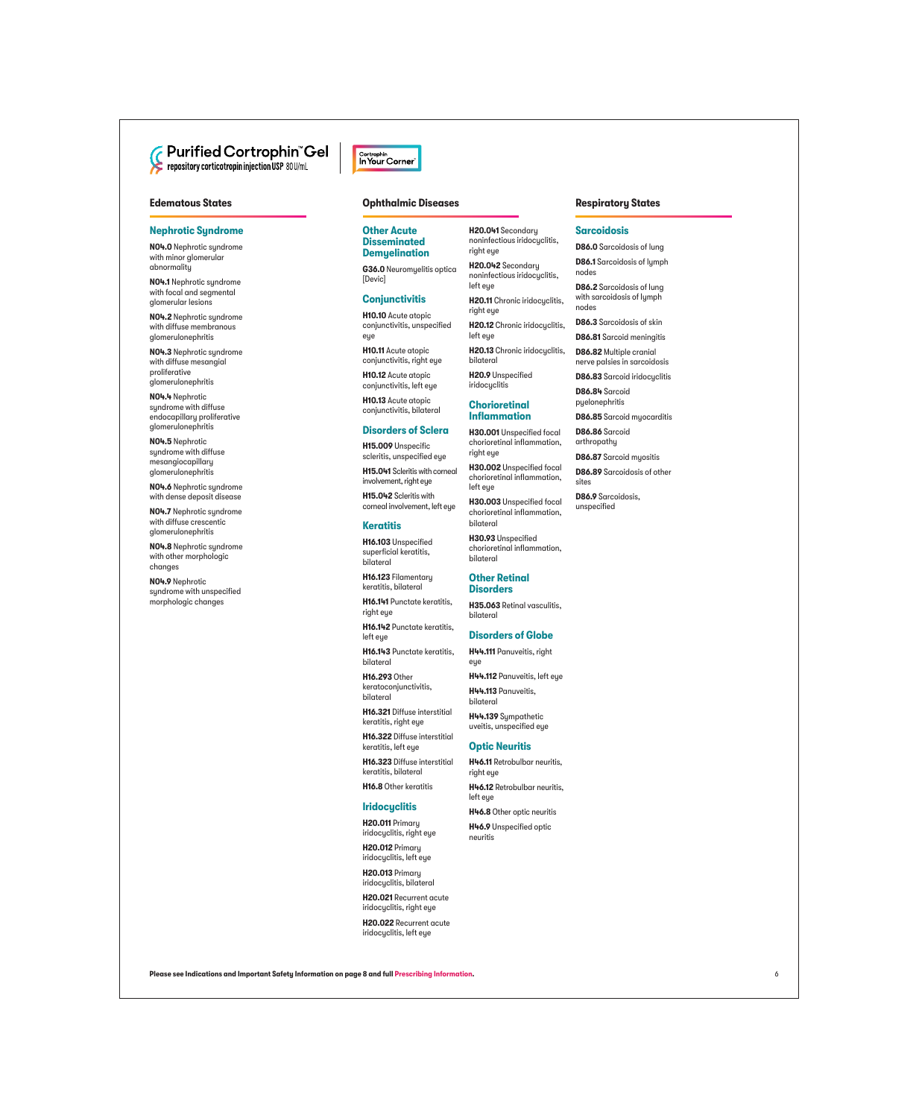# **Edematous States**

# **Nephrotic Syndrome**

**N04.0** Nephrotic syndrome with minor glomerular abnormality

**N04.1** Nephrotic syndrome with focal and segmental glomerular lesions

**N04.2** Nephrotic syndrome with diffuse membranous glomerulonephritis

**N04.3** Nephrotic syndrome with diffuse mesangial proliferative glomerulonephritis

**N04.4** Nephrotic syndrome with diffuse endocapillary proliferative glomerulonephritis

**N04.5** Nephrotic syndrome with diffuse mesangiocapillary glomerulonephritis

**N04.6** Nephrotic syndrome with dense deposit disease

**N04.7** Nephrotic syndrome with diffuse crescentic glomerulonephritis

**N04.8** Nephrotic syndrome with other morphologic changes

**N04.9** Nephrotic syndrome with unspecified morphologic changes



#### **Ophthalmic Diseases**

#### **Other Acute Disseminated Demyelination**

**G36.0** Neuromyelitis optica [Devic]

# **Conjunctivitis**

**H10.10** Acute atopic conjunctivitis, unspecified eye

**H10.11** Acute atopic conjunctivitis, right eye

**H10.12** Acute atopic conjunctivitis, left eye **H10.13** Acute atopic

conjunctivitis, bilateral

# **Disorders of Sclera**

**H15.009** Unspecific scleritis, unspecified eye

**H15.041** Scleritis with corneal involvement, right eye

**H15.042** Scleritis with corneal involvement, left eye

#### **Keratitis**

**H16.103** Unspecified superficial keratitis, bilateral

**H16.123** Filamentary keratitis, bilateral

**H16.141** Punctate keratitis, right eye

**H16.142** Punctate keratitis, left eue

**H16.143** Punctate keratitis, bilateral

**H16.293** Other keratoconjunctivitis, bilateral

**H16.321** Diffuse interstitial keratitis, right eye

**H16.322** Diffuse interstitial keratitis, left eye

**H16.323** Diffuse interstitial keratitis, bilateral

**H16.8** Other keratitis

#### **Iridocyclitis**

**H20.011** Primary iridocyclitis, right eye

**H20.012** Primary iridocyclitis, left eye

**H20.013** Primary iridocyclitis, bilateral

**H20.021** Recurrent acute iridocyclitis, right eye

**H20.022** Recurrent acute iridocyclitis, left eye

**H20.041** Secondary noninfectious iridocyclitis, right eye

**H20.042** Secondary noninfectious iridocyclitis, left eye

**H20.11** Chronic iridocyclitis, right eye

**H20.12** Chronic iridocyclitis,

left eye **H20.13** Chronic iridocyclitis, bilateral

**H20.9** Unspecified iridocyclitis

#### **Chorioretinal Inflammation**

**H30.001** Unspecified focal

chorioretinal inflammation, right eye **H30.002** Unspecified focal

chorioretinal inflammation, left eye

**H30.003** Unspecified focal chorioretinal inflammation, bilateral

**H30.93** Unspecified chorioretinal inflammation, bilateral

#### **Other Retinal Disorders**

**H35.063** Retinal vasculitis, bilateral

# **Disorders of Globe**

**H44.111** Panuveitis, right eye

**H44.112** Panuveitis, left eye **H44.113** Panuveitis,

bilateral

**H44.139** Sympathetic uveitis, unspecified eye

# **Optic Neuritis**

**H46.11** Retrobulbar neuritis, right eye

**H46.12** Retrobulbar neuritis, left eye

**H46.8** Other optic neuritis

**H46.9** Unspecified optic neuritis

#### **Respiratory States**

#### **Sarcoidosis**

**D86.0** Sarcoidosis of lung

**D86.1** Sarcoidosis of lymph nodes

**D86.2** Sarcoidosis of lung with sarcoidosis of lymph nodes

**D86.3** Sarcoidosis of skin

**D86.81** Sarcoid meningitis

**D86.82** Multiple cranial nerve palsies in sarcoidosis

**D86.83** Sarcoid iridocyclitis

**D86.84** Sarcoid pyelonephritis

**D86.85** Sarcoid myocarditis

**D86.86** Sarcoid arthropathy

**D86.87** Sarcoid myositis

**D86.89** Sarcoidosis of other sites

**D86.9** Sarcoidosis, unspecified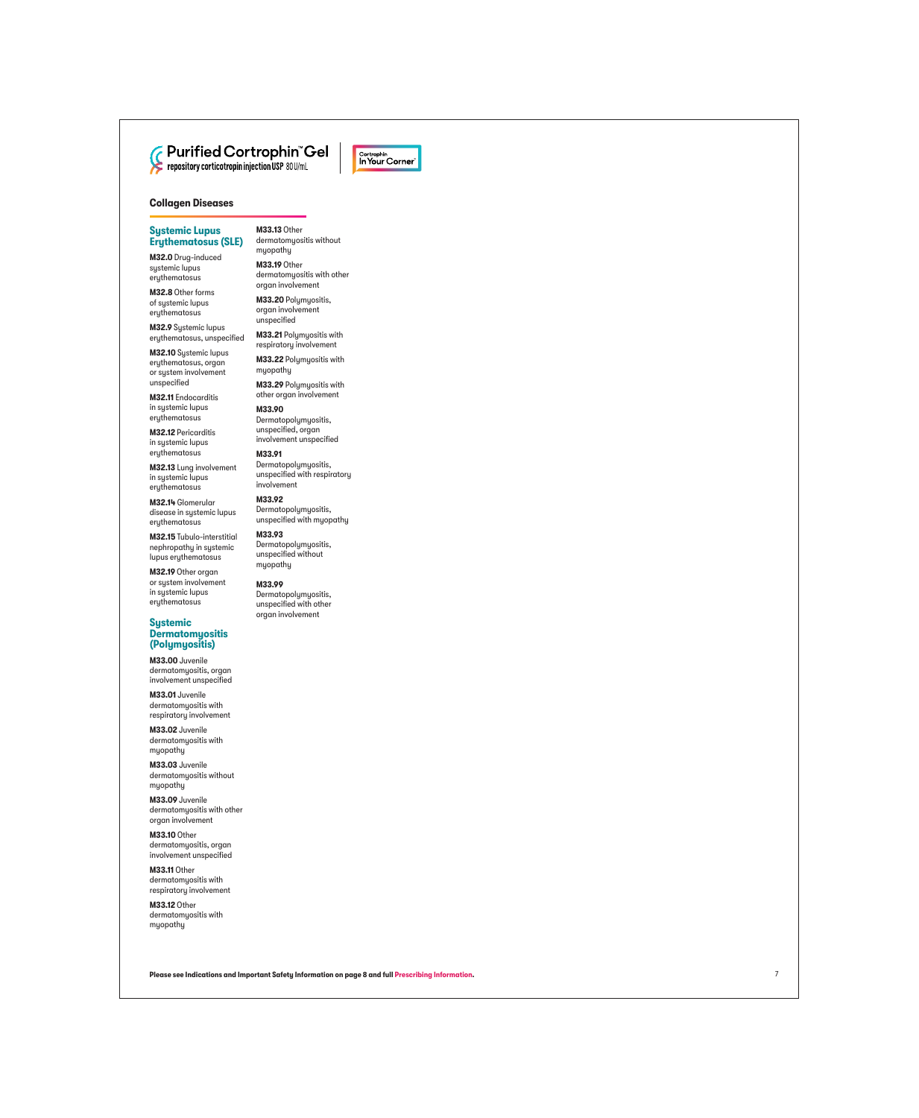



# **Sustemic Lupus Erythematosus (SLE)**

**M32.0** Drug-induced systemic lupus erythematosus

**M32.8** Other forms of systemic lupus erythematosus

**M32.9** Systemic lupus erythematosus, unspecified

**M32.10** Systemic lupus erythematosus, organ or system involvement unspecified

**M32.11** Endocarditis in systemic lupus erythematosus

**M32.12** Pericarditis in systemic lupus erythematosus

**M32.13** Lung involvement in systemic lupus erythematosus

**M32.14** Glomerular disease in systemic lupus erythematosus

**M32.15** Tubulo-interstitial nephropathy in systemic lupus erythematosus

**M32.19** Other organ or system involvement in systemic lupus erythematosus

#### **Systemic Dermatomyositis (Polymyositis)**

**M33.00** Juvenile dermatomyositis, organ involvement unspecified

**M33.01** Juvenile dermatomyositis with respiratory involvement

**M33.02** Juvenile dermatomyositis with myopathy

**M33.03** Juvenile dermatomyositis without myopathy

**M33.09** Juvenile dermatomyositis with other organ involvement

**M33.10** Other dermatomyositis, organ involvement unspecified

**M33.11** Other dermatomyositis with respiratory involvement

**M33.12** Other dermatomyositis with myopathy

**M33.13** Other dermatomyositis without muopathu

**M33.19** Other dermatomyositis with other organ involvement

**M33.20** Polymyositis, organ involvement unspecified

**M33.21** Polymyositis with respiratory involvement

**M33.22** Polymyositis with myopathy

**M33.29 Polumuositis with** other organ involvement

**M33.90**  Dermatopolymyositis, unspecified, organ involvement unspecified

**M33.91**  Dermatopolymyositis, unspecified with respiratory involvement

**M33.92**  Dermatopolymyositis, unspecified with myopathy

**M33.93**  Dermatopolymyositis, unspecified without myopathy

**M33.99** 

Dermatopolymyositis, unspecified with other organ involvement